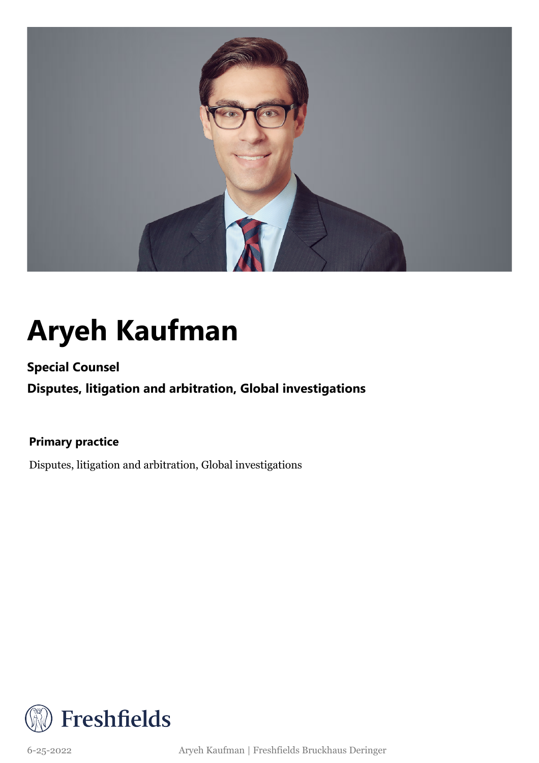

## **Aryeh Kaufman**

**Special Counsel**

**Disputes, litigation and arbitration, Global investigations**

**Primary practice**

Disputes, litigation and arbitration, Global investigations



6-25-2022 Aryeh Kaufman | Freshfields Bruckhaus Deringer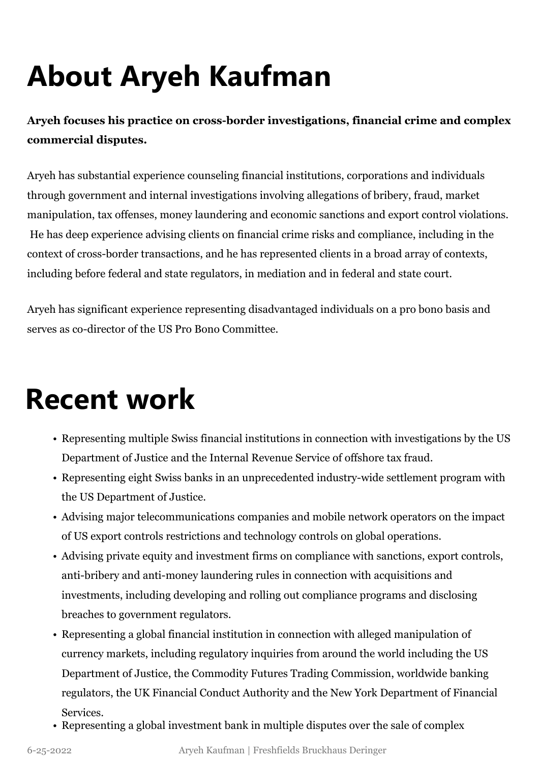# **About Aryeh Kaufman**

**Aryeh focuses his practice on cross-border investigations, financial crime and complex commercial disputes.**

Aryeh has substantial experience counseling financial institutions, corporations and individuals through government and internal investigations involving allegations of bribery, fraud, market manipulation, tax offenses, money laundering and economic sanctions and export control violations. He has deep experience advising clients on financial crime risks and compliance, including in the context of cross-border transactions, and he has represented clients in a broad array of contexts, including before federal and state regulators, in mediation and in federal and state court.

Aryeh has significant experience representing disadvantaged individuals on a pro bono basis and serves as co-director of the US Pro Bono Committee.

#### **Recent work**

- Representing multiple Swiss financial institutions in connection with investigations by the US Department of Justice and the Internal Revenue Service of offshore tax fraud.
- Representing eight Swiss banks in an unprecedented industry-wide settlement program with the US Department of Justice.
- Advising major telecommunications companies and mobile network operators on the impact of US export controls restrictions and technology controls on global operations.
- Advising private equity and investment firms on compliance with sanctions, export controls, anti-bribery and anti-money laundering rules in connection with acquisitions and investments, including developing and rolling out compliance programs and disclosing breaches to government regulators.
- Representing a global financial institution in connection with alleged manipulation of currency markets, including regulatory inquiries from around the world including the US Department of Justice, the Commodity Futures Trading Commission, worldwide banking regulators, the UK Financial Conduct Authority and the New York Department of Financial Services.
- Representing a global investment bank in multiple disputes over the sale of complex